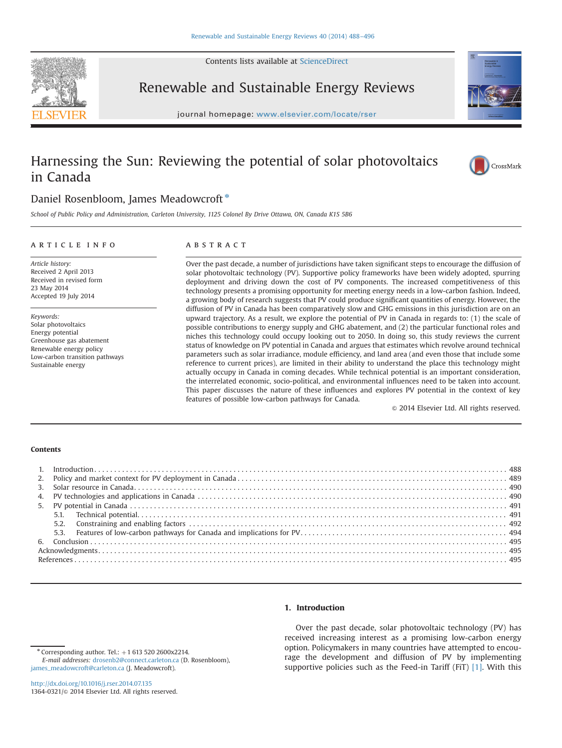Contents lists available at [ScienceDirect](www.sciencedirect.com/science/journal/13640321)



Renewable and Sustainable Energy Reviews

journal homepage: <www.elsevier.com/locate/rser>

# Harnessing the Sun: Reviewing the potential of solar photovoltaics in Canada





# Daniel Rosenbloom, James Meadowcroft<sup>\*</sup>

School of Public Policy and Administration, Carleton University, 1125 Colonel By Drive Ottawa, ON, Canada K1S 5B6

# article info

ABSTRACT

Article history: Received 2 April 2013 Received in revised form 23 May 2014 Accepted 19 July 2014

Keywords: Solar photovoltaics Energy potential Greenhouse gas abatement Renewable energy policy Low-carbon transition pathways Sustainable energy

Over the past decade, a number of jurisdictions have taken significant steps to encourage the diffusion of solar photovoltaic technology (PV). Supportive policy frameworks have been widely adopted, spurring deployment and driving down the cost of PV components. The increased competitiveness of this technology presents a promising opportunity for meeting energy needs in a low-carbon fashion. Indeed, a growing body of research suggests that PV could produce significant quantities of energy. However, the diffusion of PV in Canada has been comparatively slow and GHG emissions in this jurisdiction are on an upward trajectory. As a result, we explore the potential of PV in Canada in regards to: (1) the scale of possible contributions to energy supply and GHG abatement, and (2) the particular functional roles and niches this technology could occupy looking out to 2050. In doing so, this study reviews the current status of knowledge on PV potential in Canada and argues that estimates which revolve around technical parameters such as solar irradiance, module efficiency, and land area (and even those that include some reference to current prices), are limited in their ability to understand the place this technology might actually occupy in Canada in coming decades. While technical potential is an important consideration, the interrelated economic, socio-political, and environmental influences need to be taken into account. This paper discusses the nature of these influences and explores PV potential in the context of key features of possible low-carbon pathways for Canada.

 $@$  2014 Elsevier Ltd. All rights reserved.

#### Contents

## 1. Introduction

 $*$  Corresponding author. Tel.:  $+1$  613 520 2600x2214. E-mail addresses: [drosenb2@connect.carleton.ca](mailto:drosenb2@connect.carleton.ca) (D. Rosenbloom), [james\\_meadowcroft@carleton.ca](mailto:james_meadowcroft@carleton.ca) (J. Meadowcroft).

Over the past decade, solar photovoltaic technology (PV) has received increasing interest as a promising low-carbon energy option. Policymakers in many countries have attempted to encourage the development and diffusion of PV by implementing supportive policies such as the Feed-in Tariff (FiT) [\[1\]](#page-7-0). With this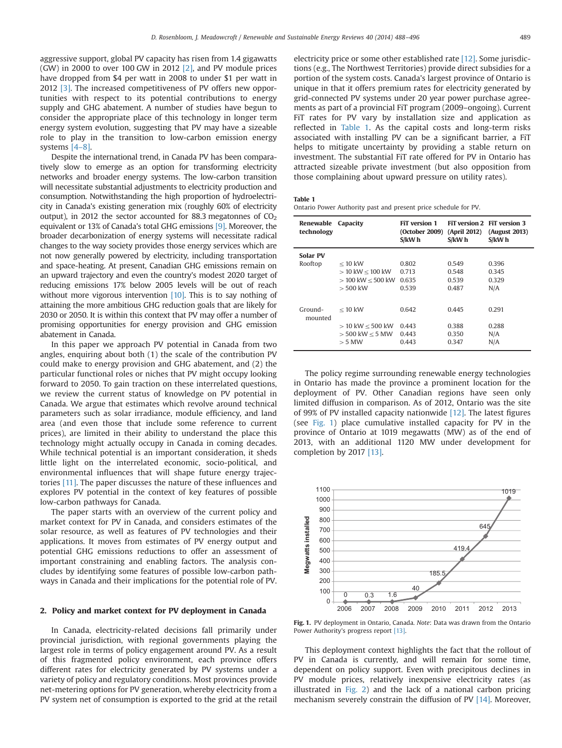aggressive support, global PV capacity has risen from 1.4 gigawatts (GW) in 2000 to over 100 GW in 2012  $[2]$ , and PV module prices have dropped from \$4 per watt in 2008 to under \$1 per watt in 2012 [\[3\].](#page-7-0) The increased competitiveness of PV offers new opportunities with respect to its potential contributions to energy supply and GHG abatement. A number of studies have begun to consider the appropriate place of this technology in longer term energy system evolution, suggesting that PV may have a sizeable role to play in the transition to low-carbon emission energy systems [4–[8\].](#page-7-0)

Despite the international trend, in Canada PV has been comparatively slow to emerge as an option for transforming electricity networks and broader energy systems. The low-carbon transition will necessitate substantial adjustments to electricity production and consumption. Notwithstanding the high proportion of hydroelectricity in Canada's existing generation mix (roughly 60% of electricity output), in 2012 the sector accounted for 88.3 megatonnes of  $CO<sub>2</sub>$ equivalent or 13% of Canada's total GHG emissions [\[9\].](#page-7-0) Moreover, the broader decarbonization of energy systems will necessitate radical changes to the way society provides those energy services which are not now generally powered by electricity, including transportation and space-heating. At present, Canadian GHG emissions remain on an upward trajectory and even the country's modest 2020 target of reducing emissions 17% below 2005 levels will be out of reach without more vigorous intervention [\[10\]](#page-7-0). This is to say nothing of attaining the more ambitious GHG reduction goals that are likely for 2030 or 2050. It is within this context that PV may offer a number of promising opportunities for energy provision and GHG emission abatement in Canada.

In this paper we approach PV potential in Canada from two angles, enquiring about both (1) the scale of the contribution PV could make to energy provision and GHG abatement, and (2) the particular functional roles or niches that PV might occupy looking forward to 2050. To gain traction on these interrelated questions, we review the current status of knowledge on PV potential in Canada. We argue that estimates which revolve around technical parameters such as solar irradiance, module efficiency, and land area (and even those that include some reference to current prices), are limited in their ability to understand the place this technology might actually occupy in Canada in coming decades. While technical potential is an important consideration, it sheds little light on the interrelated economic, socio-political, and environmental influences that will shape future energy trajectories [\[11\].](#page-7-0) The paper discusses the nature of these influences and explores PV potential in the context of key features of possible low-carbon pathways for Canada.

The paper starts with an overview of the current policy and market context for PV in Canada, and considers estimates of the solar resource, as well as features of PV technologies and their applications. It moves from estimates of PV energy output and potential GHG emissions reductions to offer an assessment of important constraining and enabling factors. The analysis concludes by identifying some features of possible low-carbon pathways in Canada and their implications for the potential role of PV.

## 2. Policy and market context for PV deployment in Canada

In Canada, electricity-related decisions fall primarily under provincial jurisdiction, with regional governments playing the largest role in terms of policy engagement around PV. As a result of this fragmented policy environment, each province offers different rates for electricity generated by PV systems under a variety of policy and regulatory conditions. Most provinces provide net-metering options for PV generation, whereby electricity from a PV system net of consumption is exported to the grid at the retail electricity price or some other established rate [\[12\]](#page-7-0). Some jurisdictions (e.g., The Northwest Territories) provide direct subsidies for a portion of the system costs. Canada's largest province of Ontario is unique in that it offers premium rates for electricity generated by grid-connected PV systems under 20 year power purchase agreements as part of a provincial FiT program (2009–ongoing). Current FiT rates for PV vary by installation size and application as reflected in Table 1. As the capital costs and long-term risks associated with installing PV can be a significant barrier, a FiT helps to mitigate uncertainty by providing a stable return on investment. The substantial FiT rate offered for PV in Ontario has attracted sizeable private investment (but also opposition from those complaining about upward pressure on utility rates).

|--|--|

| Renewable<br>technology | Capacity              | <b>FiT</b> version 1<br>(October 2009)<br>\$/kW h | (April 2012)<br>\$/kW h | FiT version 2 FiT version 3<br>(August 2013)<br>S/kW h |
|-------------------------|-----------------------|---------------------------------------------------|-------------------------|--------------------------------------------------------|
| Solar PV                |                       |                                                   |                         |                                                        |
| Rooftop                 | $< 10$ kW             | 0.802                                             | 0.549                   | 0.396                                                  |
|                         | $> 10$ kW $< 100$ kW  | 0.713                                             | 0.548                   | 0.345                                                  |
|                         | $> 100$ kW $< 500$ kW | 0.635                                             | 0.539                   | 0.329                                                  |
|                         | $>$ 500 kW            | 0.539                                             | 0.487                   | N/A                                                    |
| Ground-<br>mounted      | $<$ 10 kW             | 0.642                                             | 0.445                   | 0.291                                                  |
|                         | $> 10$ kW $< 500$ kW  | 0.443                                             | 0.388                   | 0.288                                                  |
|                         | $>$ 500 kW $<$ 5 MW   | 0.443                                             | 0.350                   | N/A                                                    |
|                         | $> 5$ MW              | 0.443                                             | 0.347                   | N/A                                                    |

The policy regime surrounding renewable energy technologies in Ontario has made the province a prominent location for the deployment of PV. Other Canadian regions have seen only limited diffusion in comparison. As of 2012, Ontario was the site of 99% of PV installed capacity nationwide [\[12\].](#page-7-0) The latest figures (see Fig. 1) place cumulative installed capacity for PV in the province of Ontario at 1019 megawatts (MW) as of the end of 2013, with an additional 1120 MW under development for completion by 2017 [\[13\].](#page-7-0)



Fig. 1. PV deployment in Ontario, Canada. Note: Data was drawn from the Ontario Power Authority's progress report [\[13\]](#page-7-0).

This deployment context highlights the fact that the rollout of PV in Canada is currently, and will remain for some time, dependent on policy support. Even with precipitous declines in PV module prices, relatively inexpensive electricity rates (as illustrated in [Fig. 2](#page-2-0)) and the lack of a national carbon pricing mechanism severely constrain the diffusion of PV [\[14\].](#page-7-0) Moreover,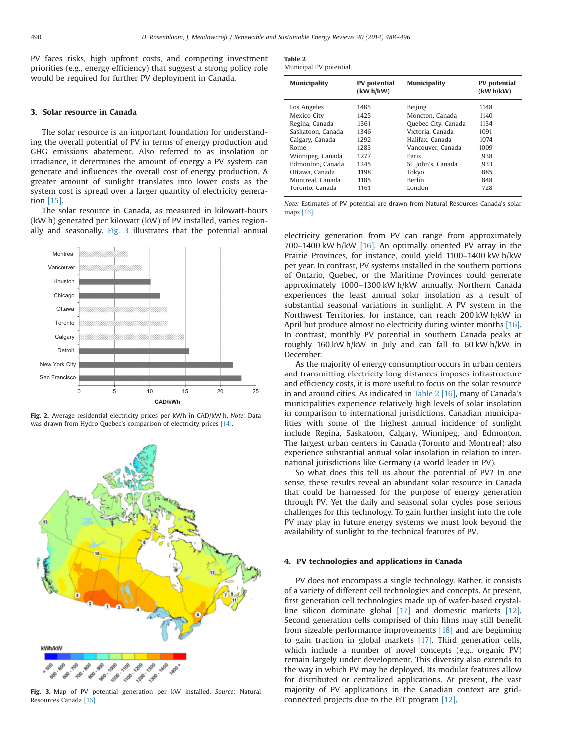<span id="page-2-0"></span>PV faces risks, high upfront costs, and competing investment priorities (e.g., energy efficiency) that suggest a strong policy role would be required for further PV deployment in Canada.

#### 3. Solar resource in Canada

The solar resource is an important foundation for understanding the overall potential of PV in terms of energy production and GHG emissions abatement. Also referred to as insolation or irradiance, it determines the amount of energy a PV system can generate and influences the overall cost of energy production. A greater amount of sunlight translates into lower costs as the system cost is spread over a larger quantity of electricity generation [\[15\]](#page-7-0).

The solar resource in Canada, as measured in kilowatt-hours (kW h) generated per kilowatt (kW) of PV installed, varies regionally and seasonally. Fig. 3 illustrates that the potential annual electricity generation from PV can range from approximately



Fig. 2. Average residential electricity prices per kWh in CAD/kW h. Note: Data was drawn from Hydro Quebec's comparison of electricity prices [\[14\].](#page-7-0)



Fig. 3. Map of PV potential generation per kW installed. Source: Natural Resources Canada [\[16\]](#page-7-0).

| Table 2                 |  |
|-------------------------|--|
| Municipal PV potential. |  |

| <b>Municipality</b> | <b>PV</b> potential<br>(kW h/kW) | <b>Municipality</b> | <b>PV</b> potential<br>(kW h/kW) |
|---------------------|----------------------------------|---------------------|----------------------------------|
| Los Angeles         | 1485                             | Beijing             | 1148                             |
| Mexico City         | 1425                             | Moncton, Canada     | 1140                             |
| Regina, Canada      | 1361                             | Quebec City, Canada | 1134                             |
| Saskatoon, Canada   | 1346                             | Victoria. Canada    | 1091                             |
| Calgary, Canada     | 1292                             | Halifax. Canada     | 1074                             |
| Rome                | 1283                             | Vancouver, Canada   | 1009                             |
| Winnipeg, Canada    | 1277                             | Paris               | 938                              |
| Edmonton, Canada    | 1245                             | St. John's, Canada  | 933                              |
| Ottawa, Canada      | 1198                             | Tokyo               | 885                              |
| Montreal, Canada    | 1185                             | <b>Berlin</b>       | 848                              |
| Toronto, Canada     | 1161                             | London              | 728                              |

Note: Estimates of PV potential are drawn from Natural Resources Canada's solar maps [\[16\]](#page-7-0).

700–1400 kW h/kW [\[16\].](#page-7-0) An optimally oriented PV array in the Prairie Provinces, for instance, could yield 1100–1400 kW h/kW per year. In contrast, PV systems installed in the southern portions of Ontario, Quebec, or the Maritime Provinces could generate approximately 1000–1300 kW h/kW annually. Northern Canada experiences the least annual solar insolation as a result of substantial seasonal variations in sunlight. A PV system in the Northwest Territories, for instance, can reach 200 kW h/kW in April but produce almost no electricity during winter months [\[16\].](#page-7-0) In contrast, monthly PV potential in southern Canada peaks at roughly 160 kW h/kW in July and can fall to 60 kW h/kW in December.

As the majority of energy consumption occurs in urban centers and transmitting electricity long distances imposes infrastructure and efficiency costs, it is more useful to focus on the solar resource in and around cities. As indicated in Table 2 [\[16\],](#page-7-0) many of Canada's municipalities experience relatively high levels of solar insolation in comparison to international jurisdictions. Canadian municipalities with some of the highest annual incidence of sunlight include Regina, Saskatoon, Calgary, Winnipeg, and Edmonton. The largest urban centers in Canada (Toronto and Montreal) also experience substantial annual solar insolation in relation to international jurisdictions like Germany (a world leader in PV).

So what does this tell us about the potential of PV? In one sense, these results reveal an abundant solar resource in Canada that could be harnessed for the purpose of energy generation through PV. Yet the daily and seasonal solar cycles pose serious challenges for this technology. To gain further insight into the role PV may play in future energy systems we must look beyond the availability of sunlight to the technical features of PV.

# 4. PV technologies and applications in Canada

PV does not encompass a single technology. Rather, it consists of a variety of different cell technologies and concepts. At present, first generation cell technologies made up of wafer-based crystal-line silicon dominate global [\[17\]](#page-7-0) and domestic markets [\[12\].](#page-7-0) Second generation cells comprised of thin films may still benefit from sizeable performance improvements [\[18\]](#page-7-0) and are beginning to gain traction in global markets [\[17\].](#page-7-0) Third generation cells, which include a number of novel concepts (e.g., organic PV) remain largely under development. This diversity also extends to the way in which PV may be deployed. Its modular features allow for distributed or centralized applications. At present, the vast majority of PV applications in the Canadian context are gridconnected projects due to the FiT program [\[12\]](#page-7-0).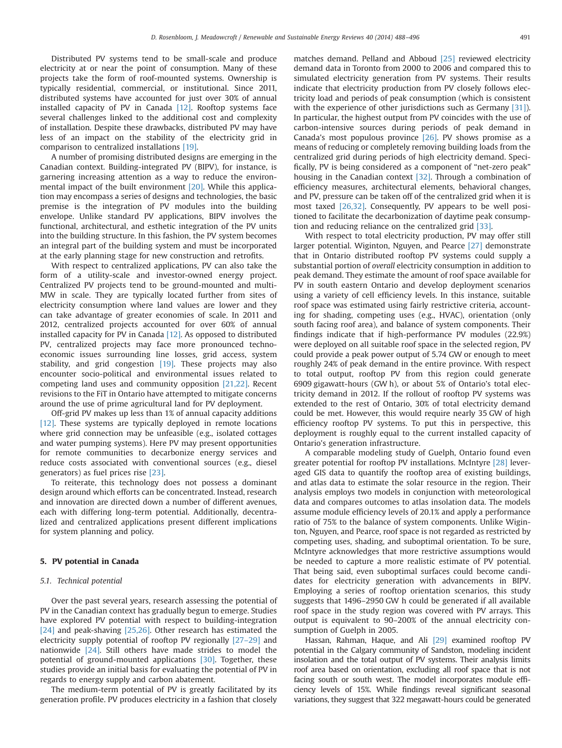Distributed PV systems tend to be small-scale and produce electricity at or near the point of consumption. Many of these projects take the form of roof-mounted systems. Ownership is typically residential, commercial, or institutional. Since 2011, distributed systems have accounted for just over 30% of annual installed capacity of PV in Canada [\[12\]](#page-7-0). Rooftop systems face several challenges linked to the additional cost and complexity of installation. Despite these drawbacks, distributed PV may have less of an impact on the stability of the electricity grid in comparison to centralized installations [\[19\]](#page-7-0).

A number of promising distributed designs are emerging in the Canadian context. Building-integrated PV (BIPV), for instance, is garnering increasing attention as a way to reduce the environmental impact of the built environment [\[20\]](#page-7-0). While this application may encompass a series of designs and technologies, the basic premise is the integration of PV modules into the building envelope. Unlike standard PV applications, BIPV involves the functional, architectural, and esthetic integration of the PV units into the building structure. In this fashion, the PV system becomes an integral part of the building system and must be incorporated at the early planning stage for new construction and retrofits.

With respect to centralized applications, PV can also take the form of a utility-scale and investor-owned energy project. Centralized PV projects tend to be ground-mounted and multi-MW in scale. They are typically located further from sites of electricity consumption where land values are lower and they can take advantage of greater economies of scale. In 2011 and 2012, centralized projects accounted for over 60% of annual installed capacity for PV in Canada [\[12\].](#page-7-0) As opposed to distributed PV, centralized projects may face more pronounced technoeconomic issues surrounding line losses, grid access, system stability, and grid congestion [\[19\]](#page-7-0). These projects may also encounter socio-political and environmental issues related to competing land uses and community opposition [\[21,22\]](#page-7-0). Recent revisions to the FiT in Ontario have attempted to mitigate concerns around the use of prime agricultural land for PV deployment.

Off-grid PV makes up less than 1% of annual capacity additions [\[12\].](#page-7-0) These systems are typically deployed in remote locations where grid connection may be unfeasible (e.g., isolated cottages and water pumping systems). Here PV may present opportunities for remote communities to decarbonize energy services and reduce costs associated with conventional sources (e.g., diesel generators) as fuel prices rise [\[23\]](#page-7-0).

To reiterate, this technology does not possess a dominant design around which efforts can be concentrated. Instead, research and innovation are directed down a number of different avenues, each with differing long-term potential. Additionally, decentralized and centralized applications present different implications for system planning and policy.

# 5. PV potential in Canada

#### 5.1. Technical potential

Over the past several years, research assessing the potential of PV in the Canadian context has gradually begun to emerge. Studies have explored PV potential with respect to building-integration [\[24\]](#page-7-0) and peak-shaving [\[25,26\].](#page-7-0) Other research has estimated the electricity supply potential of rooftop PV regionally [27–[29\]](#page-7-0) and nationwide [\[24\].](#page-7-0) Still others have made strides to model the potential of ground-mounted applications [\[30\].](#page-7-0) Together, these studies provide an initial basis for evaluating the potential of PV in regards to energy supply and carbon abatement.

The medium-term potential of PV is greatly facilitated by its generation profile. PV produces electricity in a fashion that closely matches demand. Pelland and Abboud [\[25\]](#page-7-0) reviewed electricity demand data in Toronto from 2000 to 2006 and compared this to simulated electricity generation from PV systems. Their results indicate that electricity production from PV closely follows electricity load and periods of peak consumption (which is consistent with the experience of other jurisdictions such as Germany [\[31\]\)](#page-7-0). In particular, the highest output from PV coincides with the use of carbon-intensive sources during periods of peak demand in Canada's most populous province [\[26\]](#page-7-0). PV shows promise as a means of reducing or completely removing building loads from the centralized grid during periods of high electricity demand. Specifically, PV is being considered as a component of "net-zero peak" housing in the Canadian context [\[32\]](#page-7-0). Through a combination of efficiency measures, architectural elements, behavioral changes, and PV, pressure can be taken off of the centralized grid when it is most taxed [\[26,32\].](#page-7-0) Consequently, PV appears to be well positioned to facilitate the decarbonization of daytime peak consumption and reducing reliance on the centralized grid [\[33\].](#page-7-0)

With respect to total electricity production, PV may offer still larger potential. Wiginton, Nguyen, and Pearce [\[27\]](#page-7-0) demonstrate that in Ontario distributed rooftop PV systems could supply a substantial portion of overall electricity consumption in addition to peak demand. They estimate the amount of roof space available for PV in south eastern Ontario and develop deployment scenarios using a variety of cell efficiency levels. In this instance, suitable roof space was estimated using fairly restrictive criteria, accounting for shading, competing uses (e.g., HVAC), orientation (only south facing roof area), and balance of system components. Their findings indicate that if high-performance PV modules (22.9%) were deployed on all suitable roof space in the selected region, PV could provide a peak power output of 5.74 GW or enough to meet roughly 24% of peak demand in the entire province. With respect to total output, rooftop PV from this region could generate 6909 gigawatt-hours (GW h), or about 5% of Ontario's total electricity demand in 2012. If the rollout of rooftop PV systems was extended to the rest of Ontario, 30% of total electricity demand could be met. However, this would require nearly 35 GW of high efficiency rooftop PV systems. To put this in perspective, this deployment is roughly equal to the current installed capacity of Ontario's generation infrastructure.

A comparable modeling study of Guelph, Ontario found even greater potential for rooftop PV installations. McIntyre [\[28\]](#page-7-0) leveraged GIS data to quantify the rooftop area of existing buildings, and atlas data to estimate the solar resource in the region. Their analysis employs two models in conjunction with meteorological data and compares outcomes to atlas insolation data. The models assume module efficiency levels of 20.1% and apply a performance ratio of 75% to the balance of system components. Unlike Wiginton, Nguyen, and Pearce, roof space is not regarded as restricted by competing uses, shading, and suboptimal orientation. To be sure, McIntyre acknowledges that more restrictive assumptions would be needed to capture a more realistic estimate of PV potential. That being said, even suboptimal surfaces could become candidates for electricity generation with advancements in BIPV. Employing a series of rooftop orientation scenarios, this study suggests that 1496–2950 GW h could be generated if all available roof space in the study region was covered with PV arrays. This output is equivalent to 90–200% of the annual electricity consumption of Guelph in 2005.

Hassan, Rahman, Haque, and Ali [\[29\]](#page-7-0) examined rooftop PV potential in the Calgary community of Sandston, modeling incident insolation and the total output of PV systems. Their analysis limits roof area based on orientation, excluding all roof space that is not facing south or south west. The model incorporates module efficiency levels of 15%. While findings reveal significant seasonal variations, they suggest that 322 megawatt-hours could be generated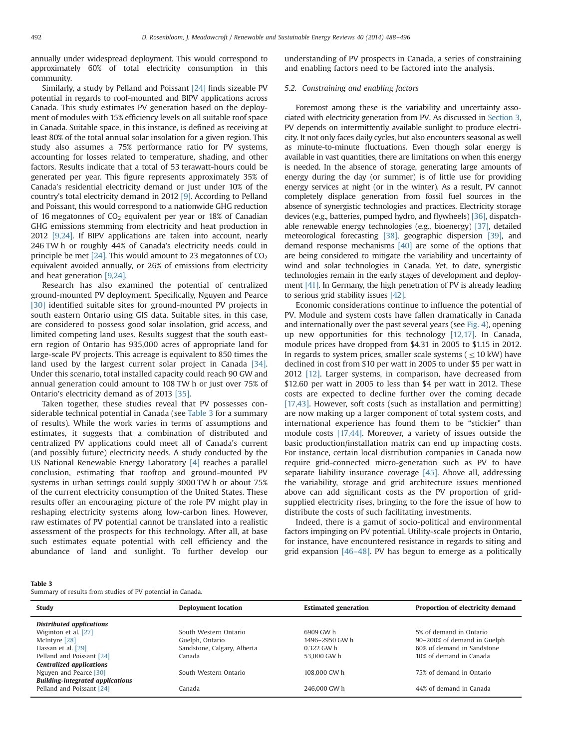annually under widespread deployment. This would correspond to approximately 60% of total electricity consumption in this community.

Similarly, a study by Pelland and Poissant [\[24\]](#page-7-0) finds sizeable PV potential in regards to roof-mounted and BIPV applications across Canada. This study estimates PV generation based on the deployment of modules with 15% efficiency levels on all suitable roof space in Canada. Suitable space, in this instance, is defined as receiving at least 80% of the total annual solar insolation for a given region. This study also assumes a 75% performance ratio for PV systems, accounting for losses related to temperature, shading, and other factors. Results indicate that a total of 53 terawatt-hours could be generated per year. This figure represents approximately 35% of Canada's residential electricity demand or just under 10% of the country's total electricity demand in 2012 [\[9\]](#page-7-0). According to Pelland and Poissant, this would correspond to a nationwide GHG reduction of 16 megatonnes of  $CO<sub>2</sub>$  equivalent per year or 18% of Canadian GHG emissions stemming from electricity and heat production in 2012 [\[9,24\].](#page-7-0) If BIPV applications are taken into account, nearly 246 TW h or roughly 44% of Canada's electricity needs could in principle be met  $[24]$ . This would amount to 23 megatonnes of  $CO<sub>2</sub>$ equivalent avoided annually, or 26% of emissions from electricity and heat generation [\[9,24\]](#page-7-0).

Research has also examined the potential of centralized ground-mounted PV deployment. Specifically, Nguyen and Pearce [\[30\]](#page-7-0) identified suitable sites for ground-mounted PV projects in south eastern Ontario using GIS data. Suitable sites, in this case, are considered to possess good solar insolation, grid access, and limited competing land uses. Results suggest that the south eastern region of Ontario has 935,000 acres of appropriate land for large-scale PV projects. This acreage is equivalent to 850 times the land used by the largest current solar project in Canada [\[34\].](#page-7-0) Under this scenario, total installed capacity could reach 90 GW and annual generation could amount to 108 TW h or just over 75% of Ontario's electricity demand as of 2013 [\[35\].](#page-7-0)

Taken together, these studies reveal that PV possesses considerable technical potential in Canada (see Table 3 for a summary of results). While the work varies in terms of assumptions and estimates, it suggests that a combination of distributed and centralized PV applications could meet all of Canada's current (and possibly future) electricity needs. A study conducted by the US National Renewable Energy Laboratory [\[4\]](#page-7-0) reaches a parallel conclusion, estimating that rooftop and ground-mounted PV systems in urban settings could supply 3000 TW h or about 75% of the current electricity consumption of the United States. These results offer an encouraging picture of the role PV might play in reshaping electricity systems along low-carbon lines. However, raw estimates of PV potential cannot be translated into a realistic assessment of the prospects for this technology. After all, at base such estimates equate potential with cell efficiency and the abundance of land and sunlight. To further develop our understanding of PV prospects in Canada, a series of constraining and enabling factors need to be factored into the analysis.

# 5.2. Constraining and enabling factors

Foremost among these is the variability and uncertainty associated with electricity generation from PV. As discussed in [Section 3,](#page-2-0) PV depends on intermittently available sunlight to produce electricity. It not only faces daily cycles, but also encounters seasonal as well as minute-to-minute fluctuations. Even though solar energy is available in vast quantities, there are limitations on when this energy is needed. In the absence of storage, generating large amounts of energy during the day (or summer) is of little use for providing energy services at night (or in the winter). As a result, PV cannot completely displace generation from fossil fuel sources in the absence of synergistic technologies and practices. Electricity storage devices (e.g., batteries, pumped hydro, and flywheels) [\[36\],](#page-8-0) dispatchable renewable energy technologies (e.g., bioenergy) [\[37\],](#page-8-0) detailed meteorological forecasting [\[38\]](#page-8-0), geographic dispersion [\[39\],](#page-8-0) and demand response mechanisms [\[40\]](#page-8-0) are some of the options that are being considered to mitigate the variability and uncertainty of wind and solar technologies in Canada. Yet, to date, synergistic technologies remain in the early stages of development and deployment [\[41\].](#page-8-0) In Germany, the high penetration of PV is already leading to serious grid stability issues [\[42\]](#page-8-0).

Economic considerations continue to influence the potential of PV. Module and system costs have fallen dramatically in Canada and internationally over the past several years (see [Fig. 4\)](#page-5-0), opening up new opportunities for this technology [\[12,17\]](#page-7-0). In Canada, module prices have dropped from \$4.31 in 2005 to \$1.15 in 2012. In regards to system prices, smaller scale systems ( $\leq$  10 kW) have declined in cost from \$10 per watt in 2005 to under \$5 per watt in 2012 [\[12\]](#page-7-0). Larger systems, in comparison, have decreased from \$12.60 per watt in 2005 to less than \$4 per watt in 2012. These costs are expected to decline further over the coming decade [\[17,43\].](#page-8-0) However, soft costs (such as installation and permitting) are now making up a larger component of total system costs, and international experience has found them to be "stickier" than module costs [\[17,44\].](#page-8-0) Moreover, a variety of issues outside the basic production/installation matrix can end up impacting costs. For instance, certain local distribution companies in Canada now require grid-connected micro-generation such as PV to have separate liability insurance coverage [\[45\].](#page-8-0) Above all, addressing the variability, storage and grid architecture issues mentioned above can add significant costs as the PV proportion of gridsupplied electricity rises, bringing to the fore the issue of how to distribute the costs of such facilitating investments.

Indeed, there is a gamut of socio-political and environmental factors impinging on PV potential. Utility-scale projects in Ontario, for instance, have encountered resistance in regards to siting and grid expansion [46–[48\].](#page-8-0) PV has begun to emerge as a politically

| Table 3                                                    |  |  |  |
|------------------------------------------------------------|--|--|--|
| Summary of results from studies of PV potential in Canada. |  |  |  |

| <b>Study</b>                            | <b>Deployment location</b>  | <b>Estimated generation</b> | Proportion of electricity demand |  |
|-----------------------------------------|-----------------------------|-----------------------------|----------------------------------|--|
| Distributed applications                |                             |                             |                                  |  |
| Wiginton et al. [27]                    | South Western Ontario       | 6909 GW h                   | 5% of demand in Ontario          |  |
| McIntyre [28]                           | Guelph, Ontario             | 1496–2950 GW h              | 90-200% of demand in Guelph      |  |
| Hassan et al. [29]                      | Sandstone, Calgary, Alberta | $0.322$ GW h                | 60% of demand in Sandstone       |  |
| Pelland and Poissant [24]               | Canada                      | 53.000 GW h                 | 10% of demand in Canada          |  |
| <b>Centralized applications</b>         |                             |                             |                                  |  |
| Nguyen and Pearce [30]                  | South Western Ontario       | 108,000 GW h                | 75% of demand in Ontario         |  |
| <b>Building-integrated applications</b> |                             |                             |                                  |  |
| Pelland and Poissant [24]               | Canada                      | 246,000 GW h                | 44% of demand in Canada          |  |
|                                         |                             |                             |                                  |  |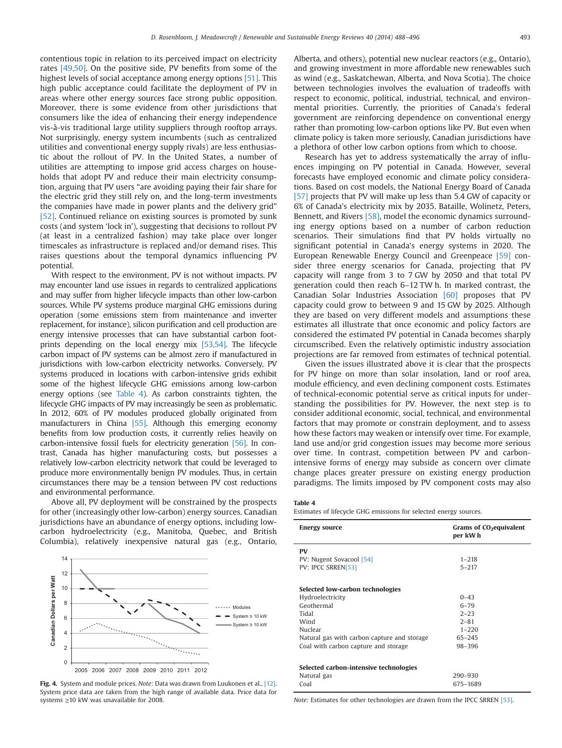<span id="page-5-0"></span>contentious topic in relation to its perceived impact on electricity rates [\[49,50\].](#page-8-0) On the positive side, PV benefits from some of the highest levels of social acceptance among energy options [\[51\].](#page-8-0) This high public acceptance could facilitate the deployment of PV in areas where other energy sources face strong public opposition. Moreover, there is some evidence from other jurisdictions that consumers like the idea of enhancing their energy independence vis-à-vis traditional large utility suppliers through rooftop arrays. Not surprisingly, energy system incumbents (such as centralized utilities and conventional energy supply rivals) are less enthusiastic about the rollout of PV. In the United States, a number of utilities are attempting to impose grid access charges on households that adopt PV and reduce their main electricity consumption, arguing that PV users "are avoiding paying their fair share for the electric grid they still rely on, and the long-term investments the companies have made in power plants and the delivery grid" [\[52\].](#page-8-0) Continued reliance on existing sources is promoted by sunk costs (and system 'lock in'), suggesting that decisions to rollout PV (at least in a centralized fashion) may take place over longer timescales as infrastructure is replaced and/or demand rises. This raises questions about the temporal dynamics influencing PV potential.

With respect to the environment, PV is not without impacts. PV may encounter land use issues in regards to centralized applications and may suffer from higher lifecycle impacts than other low-carbon sources. While PV systems produce marginal GHG emissions during operation (some emissions stem from maintenance and inverter replacement, for instance), silicon purification and cell production are energy intensive processes that can have substantial carbon footprints depending on the local energy mix [\[53,54\]](#page-8-0). The lifecycle carbon impact of PV systems can be almost zero if manufactured in jurisdictions with low-carbon electricity networks. Conversely, PV systems produced in locations with carbon-intensive grids exhibit some of the highest lifecycle GHG emissions among low-carbon energy options (see Table 4). As carbon constraints tighten, the lifecycle GHG impacts of PV may increasingly be seen as problematic. In 2012, 60% of PV modules produced globally originated from manufacturers in China [\[55\].](#page-8-0) Although this emerging economy benefits from low production costs, it currently relies heavily on carbon-intensive fossil fuels for electricity generation [\[56\].](#page-8-0) In contrast, Canada has higher manufacturing costs, but possesses a relatively low-carbon electricity network that could be leveraged to produce more environmentally benign PV modules. Thus, in certain circumstances there may be a tension between PV cost reductions and environmental performance.

Above all, PV deployment will be constrained by the prospects for other (increasingly other low-carbon) energy sources. Canadian jurisdictions have an abundance of energy options, including lowcarbon hydroelectricity (e.g., Manitoba, Quebec, and British Columbia), relatively inexpensive natural gas (e.g., Ontario,



Fig. 4. System and module prices. Note: Data was drawn from Luukonen et al., [\[12\]](#page-7-0). System price data are taken from the high range of available data. Price data for systems ≥10 kW was unavailable for 2008.

Alberta, and others), potential new nuclear reactors (e.g., Ontario), and growing investment in more affordable new renewables such as wind (e.g., Saskatchewan, Alberta, and Nova Scotia). The choice between technologies involves the evaluation of tradeoffs with respect to economic, political, industrial, technical, and environmental priorities. Currently, the priorities of Canada's federal government are reinforcing dependence on conventional energy rather than promoting low-carbon options like PV. But even when climate policy is taken more seriously, Canadian jurisdictions have a plethora of other low carbon options from which to choose.

Research has yet to address systematically the array of influences impinging on PV potential in Canada. However, several forecasts have employed economic and climate policy considerations. Based on cost models, the National Energy Board of Canada [\[57\]](#page-8-0) projects that PV will make up less than 5.4 GW of capacity or 6% of Canada's electricity mix by 2035. Bataille, Wolinetz, Peters, Bennett, and Rivers [\[58\]](#page-8-0), model the economic dynamics surrounding energy options based on a number of carbon reduction scenarios. Their simulations find that PV holds virtually no significant potential in Canada's energy systems in 2020. The European Renewable Energy Council and Greenpeace [\[59\]](#page-8-0) consider three energy scenarios for Canada, projecting that PV capacity will range from 3 to 7 GW by 2050 and that total PV generation could then reach 6–12 TW h. In marked contrast, the Canadian Solar Industries Association [\[60\]](#page-8-0) proposes that PV capacity could grow to between 9 and 15 GW by 2025. Although they are based on very different models and assumptions these estimates all illustrate that once economic and policy factors are considered the estimated PV potential in Canada becomes sharply circumscribed. Even the relatively optimistic industry association projections are far removed from estimates of technical potential.

Given the issues illustrated above it is clear that the prospects for PV hinge on more than solar insolation, land or roof area, module efficiency, and even declining component costs. Estimates of technical-economic potential serve as critical inputs for understanding the possibilities for PV. However, the next step is to consider additional economic, social, technical, and environmental factors that may promote or constrain deployment, and to assess how these factors may weaken or intensify over time. For example, land use and/or grid congestion issues may become more serious over time. In contrast, competition between PV and carbonintensive forms of energy may subside as concern over climate change places greater pressure on existing energy production paradigms. The limits imposed by PV component costs may also

|--|--|

Estimates of lifecycle GHG emissions for selected energy sources.

| <b>Energy source</b>                        | Grams of CO <sub>2</sub> equivalent<br>per kW h |
|---------------------------------------------|-------------------------------------------------|
| PV                                          |                                                 |
| PV: Nugent Sovacool [54]                    | $1 - 218$                                       |
| PV: IPCC SRREN[53]                          | $5 - 217$                                       |
|                                             |                                                 |
| Selected low-carbon technologies            |                                                 |
| Hydroelectricity                            | $0 - 43$                                        |
| Geothermal                                  | $6 - 79$                                        |
| Tidal                                       | $2 - 23$                                        |
| Wind                                        | $2 - 81$                                        |
| Nuclear                                     | $1 - 220$                                       |
| Natural gas with carbon capture and storage | $65 - 245$                                      |
| Coal with carbon capture and storage        | 98-396                                          |
|                                             |                                                 |
| Selected carbon-intensive technologies      |                                                 |
| Natural gas                                 | 290-930                                         |
| Coal                                        | 675-1689                                        |

Note: Estimates for other technologies are drawn from the IPCC SRREN [\[53\]](#page-8-0).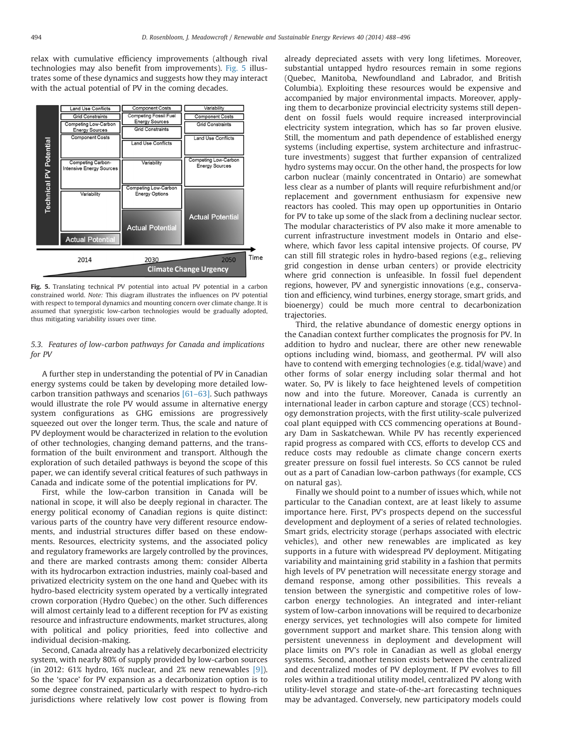relax with cumulative efficiency improvements (although rival technologies may also benefit from improvements). Fig. 5 illustrates some of these dynamics and suggests how they may interact with the actual potential of PV in the coming decades.



Fig. 5. Translating technical PV potential into actual PV potential in a carbon constrained world. Note: This diagram illustrates the influences on PV potential with respect to temporal dynamics and mounting concern over climate change. It is assumed that synergistic low-carbon technologies would be gradually adopted, thus mitigating variability issues over time.

# 5.3. Features of low-carbon pathways for Canada and implications for PV

A further step in understanding the potential of PV in Canadian energy systems could be taken by developing more detailed lowcarbon transition pathways and scenarios  $[61-63]$ . Such pathways would illustrate the role PV would assume in alternative energy system configurations as GHG emissions are progressively squeezed out over the longer term. Thus, the scale and nature of PV deployment would be characterized in relation to the evolution of other technologies, changing demand patterns, and the transformation of the built environment and transport. Although the exploration of such detailed pathways is beyond the scope of this paper, we can identify several critical features of such pathways in Canada and indicate some of the potential implications for PV.

First, while the low-carbon transition in Canada will be national in scope, it will also be deeply regional in character. The energy political economy of Canadian regions is quite distinct: various parts of the country have very different resource endowments, and industrial structures differ based on these endowments. Resources, electricity systems, and the associated policy and regulatory frameworks are largely controlled by the provinces, and there are marked contrasts among them: consider Alberta with its hydrocarbon extraction industries, mainly coal-based and privatized electricity system on the one hand and Quebec with its hydro-based electricity system operated by a vertically integrated crown corporation (Hydro Quebec) on the other. Such differences will almost certainly lead to a different reception for PV as existing resource and infrastructure endowments, market structures, along with political and policy priorities, feed into collective and individual decision-making.

Second, Canada already has a relatively decarbonized electricity system, with nearly 80% of supply provided by low-carbon sources (in 2012: 61% hydro, 16% nuclear, and 2% new renewables  $[9]$ ). So the 'space' for PV expansion as a decarbonization option is to some degree constrained, particularly with respect to hydro-rich jurisdictions where relatively low cost power is flowing from already depreciated assets with very long lifetimes. Moreover, substantial untapped hydro resources remain in some regions (Quebec, Manitoba, Newfoundland and Labrador, and British Columbia). Exploiting these resources would be expensive and accompanied by major environmental impacts. Moreover, applying them to decarbonize provincial electricity systems still dependent on fossil fuels would require increased interprovincial electricity system integration, which has so far proven elusive. Still, the momentum and path dependence of established energy systems (including expertise, system architecture and infrastructure investments) suggest that further expansion of centralized hydro systems may occur. On the other hand, the prospects for low carbon nuclear (mainly concentrated in Ontario) are somewhat less clear as a number of plants will require refurbishment and/or replacement and government enthusiasm for expensive new reactors has cooled. This may open up opportunities in Ontario for PV to take up some of the slack from a declining nuclear sector. The modular characteristics of PV also make it more amenable to current infrastructure investment models in Ontario and elsewhere, which favor less capital intensive projects. Of course, PV can still fill strategic roles in hydro-based regions (e.g., relieving grid congestion in dense urban centers) or provide electricity where grid connection is unfeasible. In fossil fuel dependent regions, however, PV and synergistic innovations (e.g., conservation and efficiency, wind turbines, energy storage, smart grids, and bioenergy) could be much more central to decarbonization trajectories.

Third, the relative abundance of domestic energy options in the Canadian context further complicates the prognosis for PV. In addition to hydro and nuclear, there are other new renewable options including wind, biomass, and geothermal. PV will also have to contend with emerging technologies (e.g. tidal/wave) and other forms of solar energy including solar thermal and hot water. So, PV is likely to face heightened levels of competition now and into the future. Moreover, Canada is currently an international leader in carbon capture and storage (CCS) technology demonstration projects, with the first utility-scale pulverized coal plant equipped with CCS commencing operations at Boundary Dam in Saskatchewan. While PV has recently experienced rapid progress as compared with CCS, efforts to develop CCS and reduce costs may redouble as climate change concern exerts greater pressure on fossil fuel interests. So CCS cannot be ruled out as a part of Canadian low-carbon pathways (for example, CCS on natural gas).

Finally we should point to a number of issues which, while not particular to the Canadian context, are at least likely to assume importance here. First, PV's prospects depend on the successful development and deployment of a series of related technologies. Smart grids, electricity storage (perhaps associated with electric vehicles), and other new renewables are implicated as key supports in a future with widespread PV deployment. Mitigating variability and maintaining grid stability in a fashion that permits high levels of PV penetration will necessitate energy storage and demand response, among other possibilities. This reveals a tension between the synergistic and competitive roles of lowcarbon energy technologies. An integrated and inter-reliant system of low-carbon innovations will be required to decarbonize energy services, yet technologies will also compete for limited government support and market share. This tension along with persistent unevenness in deployment and development will place limits on PV's role in Canadian as well as global energy systems. Second, another tension exists between the centralized and decentralized modes of PV deployment. If PV evolves to fill roles within a traditional utility model, centralized PV along with utility-level storage and state-of-the-art forecasting techniques may be advantaged. Conversely, new participatory models could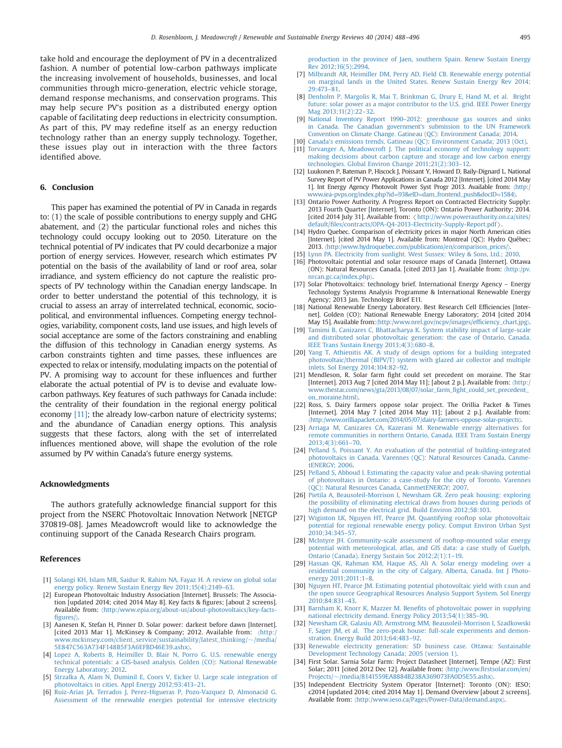<span id="page-7-0"></span>take hold and encourage the deployment of PV in a decentralized fashion. A number of potential low-carbon pathways implicate the increasing involvement of households, businesses, and local communities through micro-generation, electric vehicle storage, demand response mechanisms, and conservation programs. This may help secure PV's position as a distributed energy option capable of facilitating deep reductions in electricity consumption. As part of this, PV may redefine itself as an energy reduction technology rather than an energy supply technology. Together, these issues play out in interaction with the three factors identified above.

# 6. Conclusion

This paper has examined the potential of PV in Canada in regards to: (1) the scale of possible contributions to energy supply and GHG abatement, and (2) the particular functional roles and niches this technology could occupy looking out to 2050. Literature on the technical potential of PV indicates that PV could decarbonize a major portion of energy services. However, research which estimates PV potential on the basis of the availability of land or roof area, solar irradiance, and system efficiency do not capture the realistic prospects of PV technology within the Canadian energy landscape. In order to better understand the potential of this technology, it is crucial to assess an array of interrelated technical, economic, sociopolitical, and environmental influences. Competing energy technologies, variability, component costs, land use issues, and high levels of social acceptance are some of the factors constraining and enabling the diffusion of this technology in Canadian energy systems. As carbon constraints tighten and time passes, these influences are expected to relax or intensify, modulating impacts on the potential of PV. A promising way to account for these influences and further elaborate the actual potential of PV is to devise and evaluate lowcarbon pathways. Key features of such pathways for Canada include: the centrality of their foundation in the regional energy political economy [11]; the already low-carbon nature of electricity systems; and the abundance of Canadian energy options. This analysis suggests that these factors, along with the set of interrelated influences mentioned above, will shape the evolution of the role assumed by PV within Canada's future energy systems.

#### Acknowledgments

The authors gratefully acknowledge financial support for this project from the NSERC Photovoltaic Innovation Network [NETGP 370819-08]. James Meadowcroft would like to acknowledge the continuing support of the Canada Research Chairs program.

# References

- [1] [Solangi KH, Islam MR, Saidur R, Rahim NA, Fayaz H. A review on global solar](http://refhub.elsevier.com/S1364-0321(14)00587-5/sbref1) [energy policy. Renew Sustain Energy Rev 2011;15\(4\):2149](http://refhub.elsevier.com/S1364-0321(14)00587-5/sbref1)–63.
- [2] European Photovoltaic Industry Association [Internet]. Brussels: The Association [updated 2014; cited 2014 May 8]. Key facts & figures; [about 2 screens]. Available from: 〈[http:/www.epia.org/about-us/about-photovoltaics/key-facts](http://www.epia.org/about-us/about-photovoltaics/key-facts-figures/)fi[gures/](http://www.epia.org/about-us/about-photovoltaics/key-facts-figures/)〉.
- [3] Aanesen K, Stefan H, Pinner D. Solar power: darkest before dawn [Internet]. [cited 2013 Mar 1]. McKinsey & Company; 2012. Available from: < /http: [www.mckinsey.com/client\\_service/sustainability/latest\\_thinking/](http://www.mckinsey.com/client_service/sustainability/latest_thinking/~/media/5E847C563A734F148B5F3A6EFBD46E39.ashx)-[/media/](http://www.mckinsey.com/client_service/sustainability/latest_thinking/~/media/5E847C563A734F148B5F3A6EFBD46E39.ashx) [5E847C563A734F148B5F3A6EFBD46E39.ashx](http://www.mckinsey.com/client_service/sustainability/latest_thinking/~/media/5E847C563A734F148B5F3A6EFBD46E39.ashx)〉.
- [4] [Lopez A, Roberts B, Heimiller D, Blair N, Porro G. U.S. renewable energy](http://refhub.elsevier.com/S1364-0321(14)00587-5/sbref3) [technical potentials: a GIS-based analysis. Golden \(CO\): National Renewable](http://refhub.elsevier.com/S1364-0321(14)00587-5/sbref3) [Energy Laboratory; 2012.](http://refhub.elsevier.com/S1364-0321(14)00587-5/sbref3)
- [5] [Strzalka A, Alam N, Duminil E, Coors V, Eicker U. Large scale integration of](http://refhub.elsevier.com/S1364-0321(14)00587-5/sbref4) [photovoltaics in cities. Appl Energy 2012;93:413](http://refhub.elsevier.com/S1364-0321(14)00587-5/sbref4)–21.
- [6] [Ruiz-Arias JA, Terrados J, Perez-Higueras P, Pozo-Vazquez D, Almonacid G.](http://refhub.elsevier.com/S1364-0321(14)00587-5/sbref5) [Assessment of the renewable energies potential for intensive electricity](http://refhub.elsevier.com/S1364-0321(14)00587-5/sbref5)

[production in the province of Jaen, southern Spain. Renew Sustain Energy](http://refhub.elsevier.com/S1364-0321(14)00587-5/sbref5) [Rev 2012;16\(5\):2994.](http://refhub.elsevier.com/S1364-0321(14)00587-5/sbref5)

- [7] [Milbrandt AR, Heimiller DM, Perry AD, Field CB. Renewable energy potential](http://refhub.elsevier.com/S1364-0321(14)00587-5/sbref6) [on marginal lands in the United States. Renew Sustain Energy Rev 2014;](http://refhub.elsevier.com/S1364-0321(14)00587-5/sbref6) [29:473](http://refhub.elsevier.com/S1364-0321(14)00587-5/sbref6)–81.
- [8] [Denholm P, Margolis R, Mai T, Brinkman G, Drury E, Hand M, et al. Bright](http://refhub.elsevier.com/S1364-0321(14)00587-5/sbref7) [future: solar power as a major contributor to the U.S. grid. IEEE Power Energy](http://refhub.elsevier.com/S1364-0321(14)00587-5/sbref7) [Mag 2013;11\(2\):22](http://refhub.elsevier.com/S1364-0321(14)00587-5/sbref7)–32.
- [9] National Inventory Report 1990–[2012: greenhouse gas sources and sinks](http://refhub.elsevier.com/S1364-0321(14)00587-5/sbref8) [in Canada. The Canadian government](http://refhub.elsevier.com/S1364-0321(14)00587-5/sbref8)'s submission to the UN Framework [Convention on Climate Change. Gatineau \(QC\): Environment Canada; 2014.](http://refhub.elsevier.com/S1364-0321(14)00587-5/sbref8)
- [10] [Canada's emissions trends. Gatineau \(QC\): Environment Canada; 2013 \(Oct\).](http://refhub.elsevier.com/S1364-0321(14)00587-5/sbref9)
- [11] [Torvanger A, Meadowcroft J. The political economy of technology support:](http://refhub.elsevier.com/S1364-0321(14)00587-5/sbref10) [making decisions about carbon capture and storage and low carbon energy](http://refhub.elsevier.com/S1364-0321(14)00587-5/sbref10) [technologies. Global Environ Change 2011;21\(2\):303](http://refhub.elsevier.com/S1364-0321(14)00587-5/sbref10)–12.
- [12] Luukonen P, Bateman P, Hiscock J, Poissant Y, Howard D, Baily-Dignard L. National Survey Report of PV Power Applications in Canada 2012 [Internet]. [cited 2014 May 1]. Int Energy Agency Photovolt Power Syst Progr 2013. Available from: 〈[http:/](http://www.iea-pvps.org/index.php?id=93&eID=dam_frontend_push&docID=1584) [www.iea-pvps.org/index.php?id](http://www.iea-pvps.org/index.php?id=93&eID=dam_frontend_push&docID=1584)=93&eID=[dam\\_frontend\\_push](http://www.iea-pvps.org/index.php?id=93&eID=dam_frontend_push&docID=1584)&[docID](http://www.iea-pvps.org/index.php?id=93&eID=dam_frontend_push&docID=1584)=1584〉.
- [13] Ontario Power Authority. A Progress Report on Contracted Electricity Supply: 2013 Fourth Quarter [Internet]. Toronto (ON): Ontario Power Authority; 2014. [cited 2014 July 31]. Available from: <[http://www.powerauthority.on.ca/sites/](http://www.powerauthority.on.ca/sites/default/files/contracts/OPA-Q4-2013-Electricity-Supply-Report.pdf) default/fi[les/contracts/OPA-Q4-2013-Electricity-Supply-Report.pdf](http://www.powerauthority.on.ca/sites/default/files/contracts/OPA-Q4-2013-Electricity-Supply-Report.pdf)>
- [14] Hydro Quebec. Comparison of electricity prices in major North American cities [Internet]. [cited 2014 May 1]. Available from: Montreal (QC): Hydro Québec; 2013. 〈[http:/www.hydroquebec.com/publications/en/comparison\\_prices/](http://www.hydroquebec.com/publications/en/comparison_prices/)〉.
- [15] [Lynn PA. Electricity from sunlight. West Sussex: Wiley](http://refhub.elsevier.com/S1364-0321(14)00587-5/sbref14) & [Sons, Ltd.; 2010.](http://refhub.elsevier.com/S1364-0321(14)00587-5/sbref14)
- [16] Photovoltaic potential and solar resource maps of Canada [Internet]. Ottawa (ON): Natural Resources Canada. [cited 2013 Jan 1]. Available from: 〈[http:/pv.](http://www.pv.nrcan.gc.ca/index.php) [nrcan.gc.ca/index.php](http://www.pv.nrcan.gc.ca/index.php)〉.
- [17] Solar Photovoltaics: technology brief. International Energy Agency Energy Technology Systems Analysis Programme & International Renewable Energy Agency; 2013 Jan. Technology Brief E11.
- [18] National Renewable Energy Laboratory. Best Research Cell Efficiencies [Internet]. Golden (CO): National Renewable Energy Laboratory; 2014 [cited 2014 May 15]. Available from: \[http:/www.nrel.gov/ncpv/images/ef](http://www.nrel.gov/ncpv/images/efficiency_chart.jpg)ficiency\_chart.jpg\.
- [19] [Tamimi B, Canizares C, Bhattacharya K. System stability impact of large-scale](http://refhub.elsevier.com/S1364-0321(14)00587-5/sbref16) [and distributed solar photovoltaic generation: the case of Ontario, Canada.](http://refhub.elsevier.com/S1364-0321(14)00587-5/sbref16) [IEEE Trans Sustain Energy 2013;4\(3\):680](http://refhub.elsevier.com/S1364-0321(14)00587-5/sbref16)–8.
- [20] [Yang T, Athienitis AK. A study of design options for a building integrated](http://refhub.elsevier.com/S1364-0321(14)00587-5/sbref17) [photovoltaic/thermal \(BIPV/T\) system with glazed air collector and multiple](http://refhub.elsevier.com/S1364-0321(14)00587-5/sbref17) [inlets. Sol Energy 2014;104:82](http://refhub.elsevier.com/S1364-0321(14)00587-5/sbref17)–92.
- [21] Mendleson, R. Solar farm fight could set precedent on moraine. The Star [Internet]. 2013 Aug 7 [cited 2014 May 11]; [about 2 p.]. Available from: 〈[http:/](http://www.thestar.com/news/gta/2013/08/07/solar_farm_fight_could_set_precedent_on_moraine.html) [www.thestar.com/news/gta/2013/08/07/solar\\_farm\\_](http://www.thestar.com/news/gta/2013/08/07/solar_farm_fight_could_set_precedent_on_moraine.html)fight\_could\_set\_precedent\_ [on\\_moraine.html](http://www.thestar.com/news/gta/2013/08/07/solar_farm_fight_could_set_precedent_on_moraine.html)〉.
- [22] Ross, S. Dairy farmers oppose solar project. The Orillia Packet & Times [Internet]. 2014 May 7 [cited 2014 May 11]; [about 2 p.]. Available from: 〈[http:/www.orilliapacket.com/2014/05/07/dairy-farmers-oppose-solar-projects](http://www.orilliapacket.com/2014/05/07/dairy-farmers-oppose-solar-projects)〉.
- [23] [Arriaga M, Canizares CA, Kazerani M. Renewable energy alternatives for](http://refhub.elsevier.com/S1364-0321(14)00587-5/sbref18) [remote communities in northern Ontario, Canada. IEEE Trans Sustain Energy](http://refhub.elsevier.com/S1364-0321(14)00587-5/sbref18) [2013;4\(3\):661](http://refhub.elsevier.com/S1364-0321(14)00587-5/sbref18)–70.
- [24] [Pelland S, Poissant Y. An evaluation of the potential of building-integrated](http://refhub.elsevier.com/S1364-0321(14)00587-5/sbref19) [photovoltaics in Canada. Varennes \(QC\): Natural Resources Canada, Canme](http://refhub.elsevier.com/S1364-0321(14)00587-5/sbref19)[tENERGY; 2006.](http://refhub.elsevier.com/S1364-0321(14)00587-5/sbref19)
- [25] [Pelland S, Abboud I. Estimating the capacity value and peak-shaving potential](http://refhub.elsevier.com/S1364-0321(14)00587-5/sbref20) [of photovoltaics in Ontario: a case-study for the city of Toronto. Varennes](http://refhub.elsevier.com/S1364-0321(14)00587-5/sbref20) [\(QC\): Natural Resources Canada, CanmetENERGY; 2007.](http://refhub.elsevier.com/S1364-0321(14)00587-5/sbref20)
- [26] [Pietila A, Beausoleil-Morrison I, Newsham GR. Zero peak housing: exploring](http://refhub.elsevier.com/S1364-0321(14)00587-5/sbref21) [the possibility of eliminating electrical draws from houses during periods of](http://refhub.elsevier.com/S1364-0321(14)00587-5/sbref21) [high demand on the electrical grid. Build Environ 2012;58:103.](http://refhub.elsevier.com/S1364-0321(14)00587-5/sbref21)
- [27] [Wiginton LK, Nguyen HT, Pearce JM. Quantifying rooftop solar photovoltaic](http://refhub.elsevier.com/S1364-0321(14)00587-5/sbref22) [potential for regional renewable energy policy. Comput Environ Urban Syst](http://refhub.elsevier.com/S1364-0321(14)00587-5/sbref22) [2010;34:345](http://refhub.elsevier.com/S1364-0321(14)00587-5/sbref22)–57.
- [28] [McIntyre JH. Community-scale assessment of rooftop-mounted solar energy](http://refhub.elsevier.com/S1364-0321(14)00587-5/sbref23) [potential with meteorological, atlas, and GIS data: a case study of Guelph,](http://refhub.elsevier.com/S1364-0321(14)00587-5/sbref23) [Ontario \(Canada\). Energy Sustain Soc 2012;2\(1\):1](http://refhub.elsevier.com/S1364-0321(14)00587-5/sbref23)–19.
- [29] [Hassan QK, Rahman KM, Haque AS, Ali A. Solar energy modeling over a](http://refhub.elsevier.com/S1364-0321(14)00587-5/sbref24) [residential community in the city of Calgary, Alberta, Canada. Int J Photo](http://refhub.elsevier.com/S1364-0321(14)00587-5/sbref24)[energy 2011;2011:1](http://refhub.elsevier.com/S1364-0321(14)00587-5/sbref24)–8.
- [30] [Nguyen HT, Pearce JM. Estimating potential photovoltaic yield with r.sun and](http://refhub.elsevier.com/S1364-0321(14)00587-5/sbref25) [the open source Geographical Resources Analysis Support System. Sol Energy](http://refhub.elsevier.com/S1364-0321(14)00587-5/sbref25) [2010;84:831](http://refhub.elsevier.com/S1364-0321(14)00587-5/sbref25)–43.
- [31] Barnham K, Knorr K, Mazzer M. Benefi[ts of photovoltaic power in supplying](http://refhub.elsevier.com/S1364-0321(14)00587-5/sbref26) [national electricity demand. Energy Policy 2013;54\(1\):385](http://refhub.elsevier.com/S1364-0321(14)00587-5/sbref26)–90.
- [32] [Newsham GR, Galasiu AD, Armstrong MM, Beausoleil-Morrison I, Szadkowski](http://refhub.elsevier.com/S1364-0321(14)00587-5/sbref27) [F, Sager JM, et al. The zero-peak house: full-scale experiments and demon](http://refhub.elsevier.com/S1364-0321(14)00587-5/sbref27)[stration. Energy Build 2013;64:483](http://refhub.elsevier.com/S1364-0321(14)00587-5/sbref27)–92.
- [33] [Renewable electricity generation: SD business case. Ottawa: Sustainable](http://refhub.elsevier.com/S1364-0321(14)00587-5/sbref28) [Development Technology Canada; 2005 \(version 1\).](http://refhub.elsevier.com/S1364-0321(14)00587-5/sbref28)
- [34] First Solar. Sarnia Solar Farm: Project Datasheet [Internet]. Tempe (AZ): First Solar; 2011 [cited 2012 Dec 12]. Available from: 〈http:/www.fi[rstsolar.com/en/](http://www.firstsolar.com/en/Projects/~/media/8141559EA8884B238A369073FA0D5E55.ashx) [Projects/](http://www.firstsolar.com/en/Projects/~/media/8141559EA8884B238A369073FA0D5E55.ashx)-[/media/8141559EA8884B238A369073FA0D5E55.ashx](http://www.firstsolar.com/en/Projects/~/media/8141559EA8884B238A369073FA0D5E55.ashx)〉.
- [35] Independent Electricity System Operator [Internet]: Toronto (ON): IESO; c2014 [updated 2014; cited 2014 May 1]. Demand Overview [about 2 screens]. Available from: 〈[http:/www.ieso.ca/Pages/Power-Data/demand.aspx](http://www.ieso.ca/Pages/Power-Data/demand.aspx)〉.